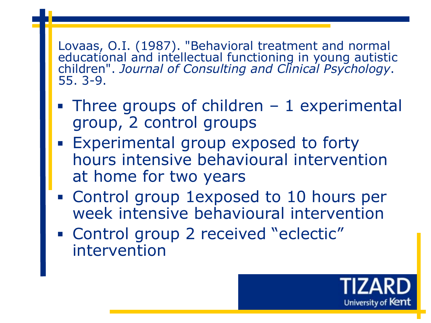Lovaas, O.I. (1987). "Behavioral treatment and normal educational and intellectual functioning in young autistic children". *Journal of Consulting and Clinical Psychology*. 55. 3-9.

- $\blacksquare$  Three groups of children  $-1$  experimental group, 2 control groups
- **Experimental group exposed to forty** hours intensive behavioural intervention at home for two years
- Control group 1exposed to 10 hours per week intensive behavioural intervention
- Control group 2 received "eclectic" intervention

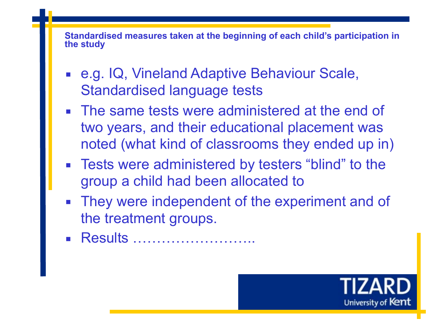**Standardised measures taken at the beginning of each child's participation in the study**

- e.g. IQ, Vineland Adaptive Behaviour Scale, Standardised language tests
- **The same tests were administered at the end of** two years, and their educational placement was noted (what kind of classrooms they ended up in)
- Tests were administered by testers "blind" to the group a child had been allocated to
- **EXTERG** They were independent of the experiment and of the treatment groups.
- Results ……………………

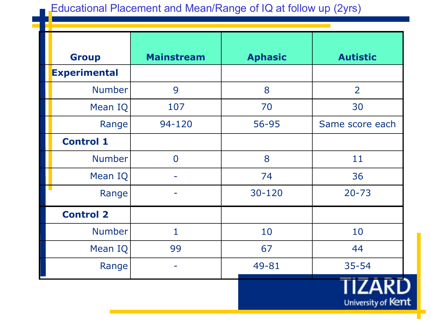## Educational Placement and Mean/Range of IQ at follow up (2yrs)

| <b>Group</b>        | <b>Mainstream</b> | <b>Aphasic</b> | <b>Autistic</b> |
|---------------------|-------------------|----------------|-----------------|
| <b>Experimental</b> |                   |                |                 |
| <b>Number</b>       | 9                 | 8              | $\overline{2}$  |
| Mean IQ             | 107               | 70             | 30              |
| Range               | 94-120            | 56-95          | Same score each |
| <b>Control 1</b>    |                   |                |                 |
| <b>Number</b>       | $\overline{0}$    | 8              | 11              |
| Mean IQ             |                   | 74             | 36              |
| Range               |                   | 30-120         | $20 - 73$       |
| <b>Control 2</b>    |                   |                |                 |
| <b>Number</b>       | $\mathbf{1}$      | 10             | 10              |
| Mean IQ             | 99                | 67             | 44              |
| Range               |                   | 49-81          | $35 - 54$       |
|                     |                   |                | - 14--          |

University of Kent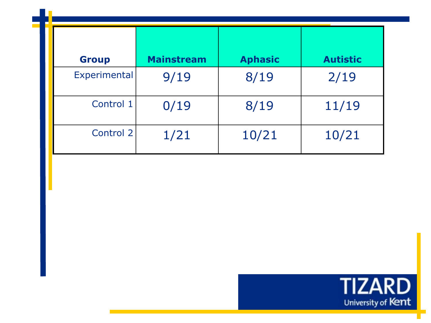| <b>Group</b> | <b>Mainstream</b> | <b>Aphasic</b> | <b>Autistic</b> |
|--------------|-------------------|----------------|-----------------|
| Experimental | 9/19              | 8/19           | 2/19            |
| Control 1    | 0/19              | 8/19           | 11/19           |
| Control 2    | 1/21              | 10/21          | 10/21           |

l T

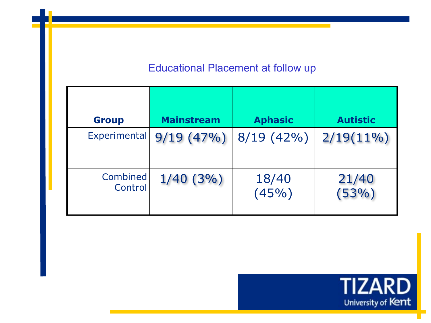## Educational Placement at follow up

| <b>Group</b>        | <b>Mainstream</b> | <b>Aphasic</b> | <b>Autistic</b> |
|---------------------|-------------------|----------------|-----------------|
| Experimental        | 9/19(47%)         | $8/19(42\%)$   | $2/19(11\%)$    |
| Combined<br>Control | $1/40(3\%)$       | 18/40<br>(45%) | 21/40<br>(53%)  |

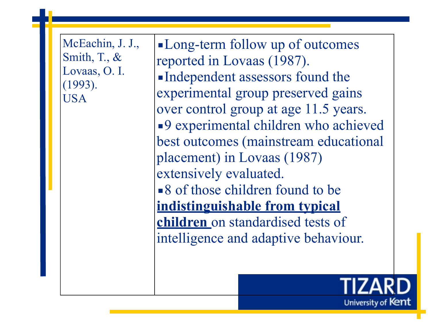McEachin, J. J., Smith, T., & Lovaas, O. I. (1993). USA

**I.** Long-term follow up of outcomes reported in Lovaas (1987). ▪Independent assessors found the experimental group preserved gains over control group at age 11.5 years. ■9 experimental children who achieved best outcomes (mainstream educational placement) in Lovaas (1987) extensively evaluated. ■ 8 of those children found to be **indistinguishable from typical children** on standardised tests of intelligence and adaptive behaviour.

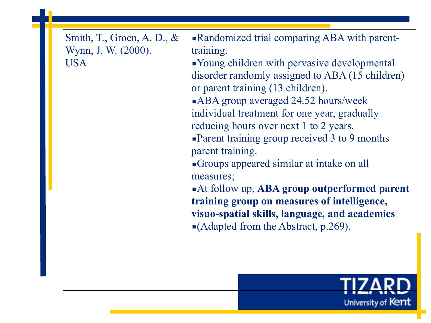| Smith, T., Groen, A. D., $\&$<br>Wynn, J. W. (2000).<br><b>USA</b> | • Randomized trial comparing ABA with parent-<br>training.<br>• Young children with pervasive developmental<br>disorder randomly assigned to ABA (15 children)<br>or parent training (13 children).<br><b>ABA</b> group averaged 24.52 hours/week<br>individual treatment for one year, gradually<br>reducing hours over next 1 to 2 years.<br>• Parent training group received 3 to 9 months<br>parent training.<br>Groups appeared similar at intake on all<br>measures;<br>At follow up, ABA group outperformed parent<br>training group on measures of intelligence,<br>visuo-spatial skills, language, and academics<br>$\blacksquare$ (Adapted from the Abstract, p.269). |
|--------------------------------------------------------------------|---------------------------------------------------------------------------------------------------------------------------------------------------------------------------------------------------------------------------------------------------------------------------------------------------------------------------------------------------------------------------------------------------------------------------------------------------------------------------------------------------------------------------------------------------------------------------------------------------------------------------------------------------------------------------------|
|                                                                    |                                                                                                                                                                                                                                                                                                                                                                                                                                                                                                                                                                                                                                                                                 |

University of Kent

۳

I F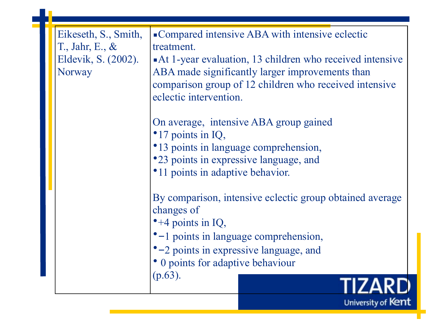| Eikeseth, S., Smith,<br>T., Jahr, E., $\&$<br>Eldevik, S. (2002).<br>Norway | • Compared intensive ABA with intensive eclectic<br>treatment.<br>At 1-year evaluation, 13 children who received intensive<br>ABA made significantly larger improvements than<br>comparison group of 12 children who received intensive<br>eclectic intervention.<br>On average, intensive ABA group gained<br>•17 points in IQ,<br>•13 points in language comprehension,<br>•23 points in expressive language, and<br>•11 points in adaptive behavior.<br>By comparison, intensive eclectic group obtained average<br>changes of<br>$-4$ points in IQ,<br>•-1 points in language comprehension,<br>•–2 points in expressive language, and<br>• 0 points for adaptive behaviour<br>$(p.63)$ . |
|-----------------------------------------------------------------------------|-----------------------------------------------------------------------------------------------------------------------------------------------------------------------------------------------------------------------------------------------------------------------------------------------------------------------------------------------------------------------------------------------------------------------------------------------------------------------------------------------------------------------------------------------------------------------------------------------------------------------------------------------------------------------------------------------|
|                                                                             | University of Kent                                                                                                                                                                                                                                                                                                                                                                                                                                                                                                                                                                                                                                                                            |

F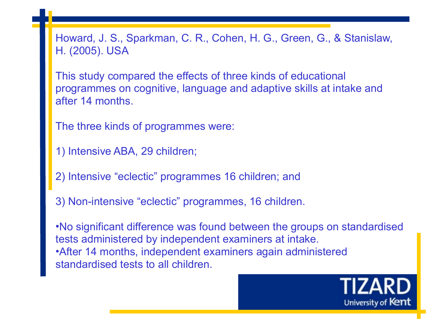Howard, J. S., Sparkman, C. R., Cohen, H. G., Green, G., & Stanislaw, H. (2005). USA

This study compared the effects of three kinds of educational programmes on cognitive, language and adaptive skills at intake and after 14 months.

The three kinds of programmes were:

1) Intensive ABA, 29 children;

2) Intensive "eclectic" programmes 16 children; and

3) Non-intensive "eclectic" programmes, 16 children.

•No significant difference was found between the groups on standardised tests administered by independent examiners at intake. •After 14 months, independent examiners again administered standardised tests to all children.

University of Kent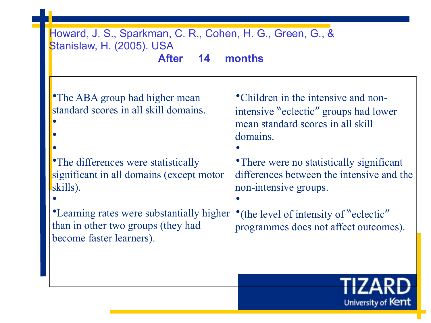| Howard, J. S., Sparkman, C. R., Cohen, H. G., Green, G., &<br>Stanislaw, H. (2005). USA<br>months<br><b>After</b><br>14                                            |                                                                                                                                                                                                                          |  |
|--------------------------------------------------------------------------------------------------------------------------------------------------------------------|--------------------------------------------------------------------------------------------------------------------------------------------------------------------------------------------------------------------------|--|
| <b>•The ABA group had higher mean</b><br>standard scores in all skill domains.<br>• The differences were statistically<br>significant in all domains (except motor | • Children in the intensive and non-<br>intensive "eclectic" groups had lower<br>mean standard scores in all skill<br>domains.<br>• There were no statistically significant<br>differences between the intensive and the |  |
| skills).<br>•Learning rates were substantially higher<br>than in other two groups (they had                                                                        | non-intensive groups.<br>•(the level of intensity of "eclectic"<br>programmes does not affect outcomes).                                                                                                                 |  |
| become faster learners).                                                                                                                                           |                                                                                                                                                                                                                          |  |
|                                                                                                                                                                    | University of Kent                                                                                                                                                                                                       |  |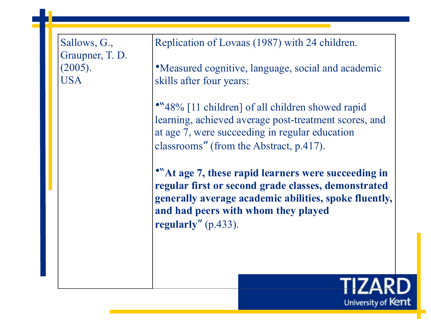| Sallows, G.,<br>Graupner, T. D.<br>(2005).<br><b>USA</b> | Replication of Lovaas (1987) with 24 children.<br>• Measured cognitive, language, social and academic<br>skills after four years:<br>•"48% [11 children] of all children showed rapid<br>learning, achieved average post-treatment scores, and<br>at age 7, were succeeding in regular education<br>classrooms" (from the Abstract, p.417).<br>"At age 7, these rapid learners were succeeding in<br>regular first or second grade classes, demonstrated<br>generally average academic abilities, spoke fluently,<br>and had peers with whom they played |
|----------------------------------------------------------|----------------------------------------------------------------------------------------------------------------------------------------------------------------------------------------------------------------------------------------------------------------------------------------------------------------------------------------------------------------------------------------------------------------------------------------------------------------------------------------------------------------------------------------------------------|
|                                                          | regularly" $(p.433)$ .                                                                                                                                                                                                                                                                                                                                                                                                                                                                                                                                   |

University of Kent

H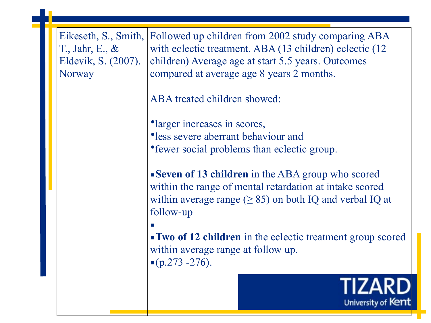Eikeseth, S., Smith, T., Jahr, E., & Eldevik, S. (2007). Norway

Followed up children from 2002 study comparing ABA with eclectic treatment. ABA (13 children) eclectic (12 children) Average age at start 5.5 years. Outcomes compared at average age 8 years 2 months.

ABA treated children showed:

•larger increases in scores, •less severe aberrant behaviour and •fewer social problems than eclectic group.

**Example 13 children** in the ABA group who scored within the range of mental retardation at intake scored within average range ( $\geq$  85) on both IQ and verbal IQ at follow-up

▪ **Two of 12 children** in the eclectic treatment group scored within average range at follow up.  $(p.273 - 276)$ .

> TIZARI University of Kent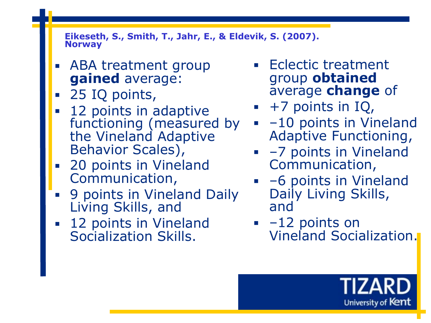**Eikeseth, S., Smith, T., Jahr, E., & Eldevik, S. (2007). Norway**

- ABA treatment group **gained** average:
- 25 IQ points,
- 12 points in adaptive functioning (measured by the Vineland Adaptive Behavior Scales),
- 20 points in Vineland Communication,
- 9 points in Vineland Daily Living Skills, and
- 12 points in Vineland Socialization Skills.
- Eclectic treatment group **obtained**  average **change** of
- $\bullet$  +7 points in IQ,
- **•** -10 points in Vineland Adaptive Functioning,
- –7 points in Vineland Communication,
- –6 points in Vineland Daily Living Skills, and
- $-12$  points on Vineland Socialization.

University of Kent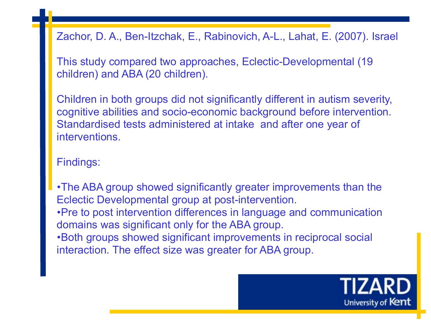Zachor, D. A., Ben-Itzchak, E., Rabinovich, A-L., Lahat, E. (2007). Israel

This study compared two approaches, Eclectic-Developmental (19 children) and ABA (20 children).

Children in both groups did not significantly different in autism severity, cognitive abilities and socio-economic background before intervention. Standardised tests administered at intake and after one year of interventions.

Findings:

•The ABA group showed significantly greater improvements than the Eclectic Developmental group at post-intervention. •Pre to post intervention differences in language and communication domains was significant only for the ABA group. •Both groups showed significant improvements in reciprocal social interaction. The effect size was greater for ABA group.